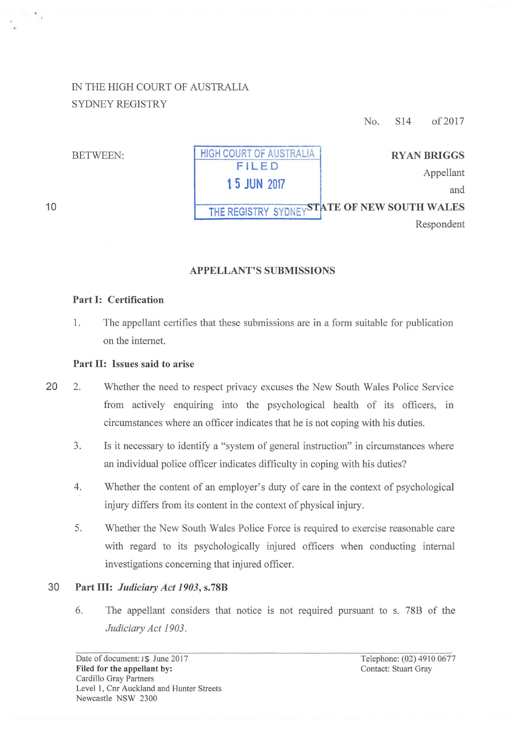# IN THE HIGH COURT OF AUSTRALIA SYDNEY REGISTRY

No. S14 of2017

BETWEEN: HIGH COURT OF AUSTRALIA

## RYANBRIGGS

10

# **1 5 JUN** <sup>2017</sup> Appellant and THE REGISTRY SYDNEYSTATE OF NEW SOUTH WALES Respondent

### APPELLANT'S SUBMISSIONS

FIL ED

### Part 1: Certification

1. The appellant certifies that these submissions are in a form suitable for publication on the internet.

#### Part 11: Issues said to arise

- 20 2. Whether the need to respect privacy excuses the New South Wales Police Service from actively enquiring into the psychological health of its officers, in circumstances where an officer indicates that he is not coping with his duties.
	- 3. Is it necessary to identify a "system of general instruction" in circumstances where an individual police officer indicates difficulty in coping with his duties?
	- 4. Whether the content of an employer's duty of care in the context of psychological injury differs from its content in the context of physical injury.
	- 5. Whether the New South Wales Police Force is required to exercise reasonable care with regard to its psychologically injured officers when conducting internal investigations concerning that injured officer.

### 30 Part Ill: *Judiciary Act 1903,* s.78B

6. The appellant considers that notice is not required pursuant to s. 78B of the *Judiciary Act 1903.* 

Telephone: (02) 4910 0677 Contact: Stuart Gray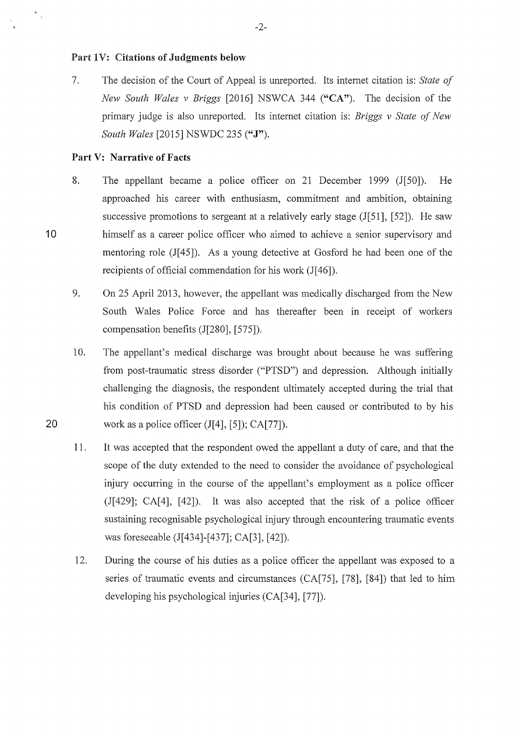#### Part lV: Citations of Judgments below

7. The decision of the Court of Appeal is umeported. Its internet citation is: *State of New South Wales v Briggs* [2016] NSWCA 344 ("CA"). The decision of the primary judge is also umeported. Its internet citation is: *Briggs v State of New South Wales* [2015] NSWDC 235 **("J").** 

#### **Part V: Narrative of Facts**

10

 $\frac{1}{\sqrt{2}}$ 

20

- 8. The appellant became a police officer on 21 December 1999 (J[50]). He approached his career with enthusiasm, commitment and ambition, obtaining successive promotions to sergeant at a relatively early stage (J[51], [52]). He saw himself as a career police officer who aimed to achieve a senior supervisory and mentoring role (J[45]). As a young detective at Gosford he had been one of the recipients of official commendation for his work (J[46]).
- 9. On 25 April 2013, however, the appellant was medically discharged from the New South Wales Police Force and has thereafter been in receipt of workers compensation benefits (J[280], [575]).
- 10. The appellant's medical discharge was brought about because he was suffering from post-traumatic stress disorder ("PTSD") and depression. Although initially challenging the diagnosis, the respondent ultimately accepted during the trial that his condition of PTSD and depression had been caused or contributed to by his work as a police officer (J[4], [5]); CA[77]).
- 11. It was accepted that the respondent owed the appellant a duty of care, and that the scope of the duty extended to the need to consider the avoidance of psychological injury occurring in the course of the appellant's employment as a police officer (J[429]; CA[4], [42]). It was also accepted that the risk of a police officer sustaining recognisable psychological injury through encountering traumatic events was foreseeable (1[434]-[437]; CA[3], [42]).
- 12. During the course of his duties as a police officer the appellant was exposed to a series of traumatic events and circumstances (CA[75], [78], [84]) that led to him developing his psychological injuries (CA[34], [77]).

-2-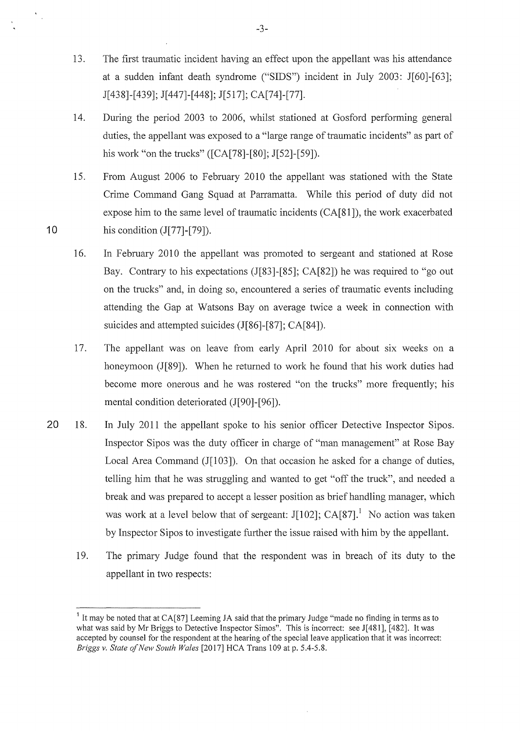- 13. The first traumatic incident having an effect upon the appellant was his attendance at a sudden infant death syndrome ("SIDS") incident in July 2003: J[60]-[63]; J[438]-[439]; J[447]-[448]; J[517]; CA[74]-[77].
- 14. During the period 2003 to 2006, whilst stationed at Gosford performing general duties, the appellant was exposed to a "large range of traumatic incidents" as part of his work "on the trucks" ([CA[78]-[80]; J[52]-[59]).
- 15. From August 2006 to February 2010 the appellant was stationed with the State Crime Command Gang Squad at Parramatta. While this period of duty did not expose him to the same level of traumatic incidents  $(CA[81])$ , the work exacerbated his condition (J[77]-[79]).

10

 $\overline{\phantom{a}}$ 

- 16. In February 2010 the appellant was promoted to sergeant and stationed at Rose Bay. Contrary to his expectations (J[83]-[85]; CA[82]) he was required to "go out on the trucks" and, in doing so, encountered a series of traumatic events including attending the Gap at Watsons Bay on average twice a week in connection with suicides and attempted suicides (J[86]-[87]; CA[84]).
- 17. The appellant was on leave from early April 2010 for about six weeks on a honeymoon (J[89]). When he returned to work he found that his work duties had become more onerous and he was rostered "on the trucks" more frequently; his mental condition deteriorated (J[90]-[96]).
- 20 18. In July 2011 the appellant spoke to his senior officer Detective Inspector Sipos. Inspector Sipos was the duty officer in charge of "man management" at Rose Bay Local Area Command (J[103]). On that occasion he asked for a change of duties, telling him that he was struggling and wanted to get "off the truck", and needed a break and was prepared to accept a lesser position as brief handling manager, which was work at a level below that of sergeant: J[102];  $CA[87]$ <sup>1</sup>. No action was taken by Inspector Sipos to investigate further the issue raised with him by the appellant.
	- 19. The primary Judge found that the respondent was in breach of its duty to the appellant in two respects:

<sup>&</sup>lt;sup>1</sup> It may be noted that at CA $[87]$  Leeming JA said that the primary Judge "made no finding in terms as to what was said by Mr Briggs to Detective Inspector Simos". This is incorrect: see J[481], [482]. It was accepted by counsel for the respondent at the hearing of the special leave application that it was incorrect: *Briggs v. State of New South Wales* [2017] HCA Trans 109 at p. 5.4-5.8.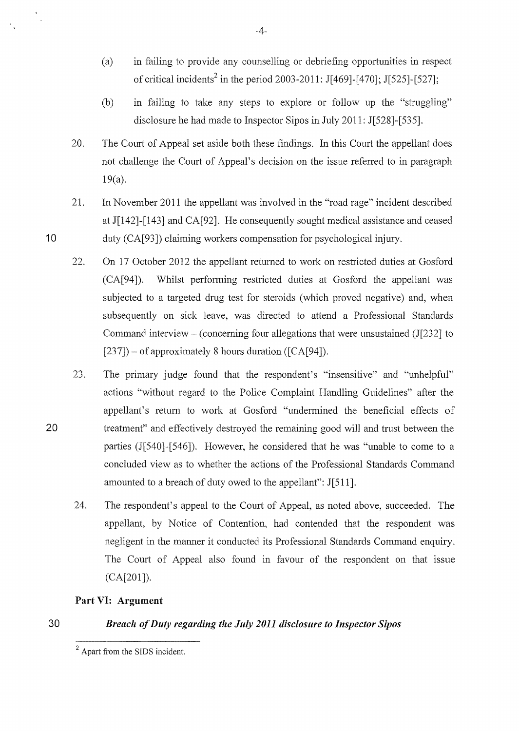- (a) in failing to provide any counselling or debriefing opportunities in respect of critical incidents<sup>2</sup> in the period 2003-2011: J[469]-[470]; J[525]-[527];
- (b) in failing to take any steps to explore or follow up the "struggling" disclosure he had made to Inspector Sipos in July 2011: 1[528]-[535].
- 20. The Court of Appeal set aside both these findings. In this Court the appellant does not challenge the Court of Appeal's decision on the issue referred to in paragraph 19(a).
- 21. In November 2011 the appellant was involved in the "road rage" incident described at 1[142]-[143] and CA[92]. He consequently sought medical assistance and ceased duty (CA[93]) claiming workers compensation for psychological injury.
- 22. On 17 October 2012 the appellant returned to work on restricted duties at Gosford (CA[94]). Whilst performing restricted duties at Gosford the appellant was subjected to a targeted drug test for steroids (which proved negative) and, when subsequently on sick leave, was directed to attend a Professional Standards Command interview- (concerning four allegations that were unsustained (J[232] to  $[237]$  – of approximately 8 hours duration ( $[CA[94]$ ).
- 23. The primary judge found that the respondent's "insensitive" and "unhelpful" actions "without regard to the Police Complaint Handling Guidelines" after the appellant's return to work at Gosford "undermined the beneficial effects of treatment" and effectively destroyed the remaining good will and trust between the parties (J[540]-[546]). However, he considered that he was "unable to come to a concluded view as to whether the actions of the Professional Standards Command amounted to a breach of duty owed to the appellant": 1[511].
- 24. The respondent's appeal to the Court of Appeal, as noted above, succeeded. The appellant, by Notice of Contention, had contended that the respondent was negligent in the manner it conducted its Professional Standards Command enquiry. The Court of Appeal also found in favour of the respondent on that issue (CA[201]).

### **Part VI: Argument**

### 30 *Breach of Duty regarding the July 2011 disclosure to Inspector Sipos*

<sup>2</sup> Apart from the SIDS incident.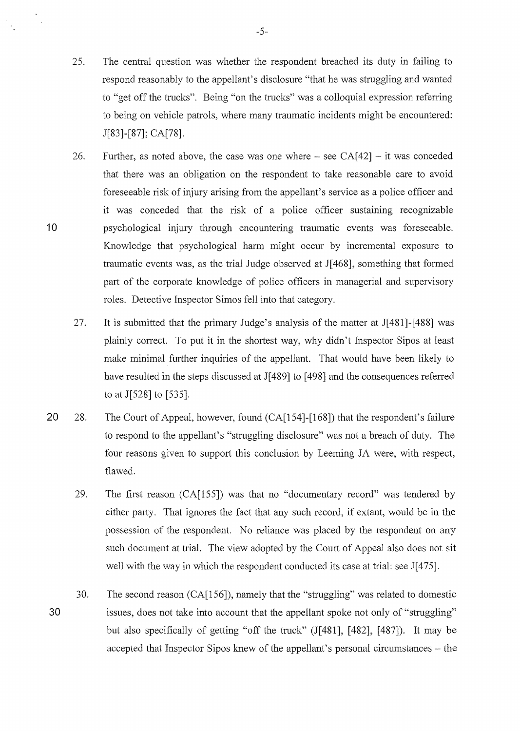- 25. The central question was whether the respondent breached its duty in failing to respond reasonably to the appellant's disclosure "that he was struggling and wanted to "get off the trucks". Being "on the trucks" was a colloquial expression referring to being on vehicle patrols, where many traumatic incidents might be encountered: J[83]-[87]; CA[78].
- 26. Further, as noted above, the case was one where  $-$  see CA[42]  $-$  it was conceded that there was an obligation on the respondent to take reasonable care to avoid foreseeable risk of injury arising from the appellant's service as a police officer and it was conceded that the risk of a police officer sustaining recognizable psychological injury through encountering traumatic events was foreseeable. Knowledge that psychological harm might occur by incremental exposure to traumatic events was, as the trial Judge observed at J[468], something that formed part of the corporate knowledge of police officers in managerial and supervisory roles. Detective Inspector Simos fell into that category.

- 27. It is submitted that the primary Judge's analysis of the matter at J[481]-[488] was plainly correct. To put it in the shortest way, why didn't Inspector Sipos at least make minimal further inquiries of the appellant. That would have been likely to have resulted in the steps discussed at J[489] to [498] and the consequences referred to at J[528] to [535].
- **20** 28. The Court of Appeal, however, found (CA[154]-[168]) that the respondent's failure to respond to the appellant's "struggling disclosure" was not a breach of duty. The four reasons given to support this conclusion by Leeming JA were, with respect, flawed.
	- 29. The first reason (CA[155]) was that no "documentary record" was tendered by either party. That ignores the fact that any such record, if extant, would be in the possession of the respondent. No reliance was placed by the respondent on any such document at trial. The view adopted by the Court of Appeal also does not sit well with the way in which the respondent conducted its case at trial: see J[475].
- **30**  30. The second reason (CA[156]), namely that the "struggling" was related to domestic issues, does not take into account that the appellant spoke not only of "struggling" but also specifically of getting "off the truck" (J[481], [482], [487]). It may be accepted that Inspector Sipos knew of the appellant's personal circumstances – the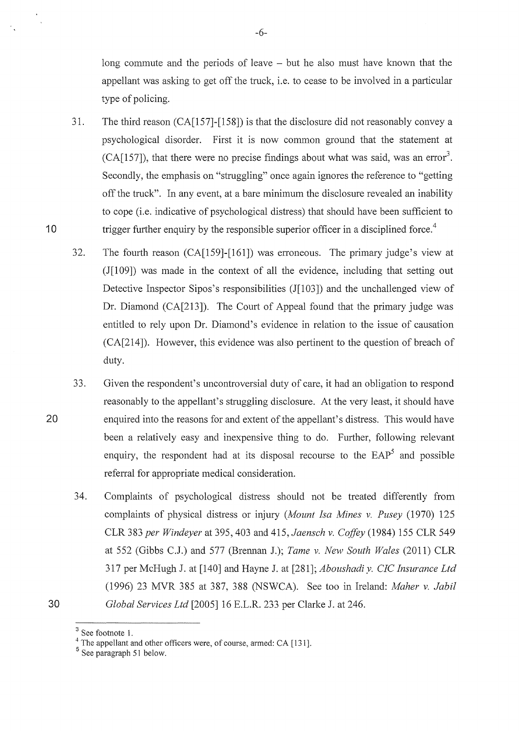long commute and the periods of leave – but he also must have known that the appellant was asking to get off the truck, i.e. to cease to be involved in a particular type of policing.

- 31. The third reason (CA[157]-[158]) is that the disclosure did not reasonably convey a psychological disorder. First it is now common ground that the statement at  $(CA[157])$ , that there were no precise findings about what was said, was an error<sup>3</sup>. Secondly, the emphasis on "struggling" once again ignores the reference to "getting off the truck". In any event, at a bare minimum the disclosure revealed an inability to cope (i.e. indicative of psychological distress) that should have been sufficient to trigger further enquiry by the responsible superior officer in a disciplined force.<sup>4</sup>
- 32. The fourth reason (CA[159]-[161]) was erroneous. The primary judge's view at  $(I[109])$  was made in the context of all the evidence, including that setting out Detective Inspector Sipos's responsibilities (J[103]) and the unchallenged view of Dr. Diamond (CA[213]). The Court of Appeal found that the primary judge was entitled to rely upon Dr. Diamond's evidence in relation to the issue of causation (CA[214]). However, this evidence was also pertinent to the question of breach of duty.
- 33. Given the respondent's uncontroversial duty of care, it had an obligation to respond reasonably to the appellant's struggling disclosure. At the very least, it should have enquired into the reasons for and extent of the appellant's distress. This would have been a relatively easy and inexpensive thing to do. Further, following relevant enquiry, the respondent had at its disposal recourse to the  $EAP<sup>5</sup>$  and possible referral for appropriate medical consideration.
	- 34. Complaints of psychological distress should not be treated differently from complaints of physical distress or injury *(Mount !sa Mines v. Pusey* (1970) 125 CLR 383 *per Windeyer* at 395,403 and 415, *Jaensch v. Coffey* (1984) 155 CLR 549 at 552 (Gibbs C.J.) and 577 (Brennan J.); *Tame v. New South Wales* (2011) CLR 317 per McHugh J. at [140] and Hayne J. at [281]; *Aboushadi y. CIC Insurance Ltd*  (1996) 23 MVR 385 at 387, 388 (NSWCA). See too in Ireland: *1\1aher v. Jabil Global Services Ltd* [2005] 16 E.L.R. 233 per Clarke J. at 246.

10

20

 $\frac{3}{4}$  See footnote 1.<br> $\frac{4}{4}$  The appellant and other officers were, of course, armed: CA [131].

<sup>5</sup> See paragraph 51 below.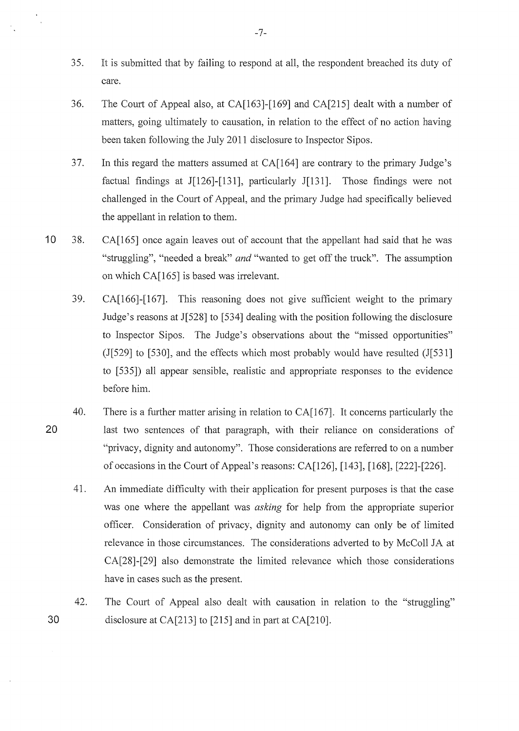- 35. It is submitted that by failing to respond at all, the respondent breached its duty of care.
- 36. The Court of Appeal also, at CA[l63]-[169] and CA[215] dealt with a number of matters, going ultimately to causation, in relation to the effect of no action having been taken following the July 2011 disclosure to Inspector Sipos.
- 37. In this regard the matters assumed at CA[164] are contrary to the primary Judge's factual findings at J[126]-[131], particularly J[131]. Those findings were not challenged in the Court of Appeal, and the primary Judge had specifically believed the appellant in relation to them.
- 10 38. CA[165] once again leaves out of account that the appellant had said that he was "struggling", "needed a break" *and* "wanted to get off the truck". The assumption on which CA[165] is based was irrelevant.
	- 39. CA[166]-[167]. This reasoning does not give sufficient weight to the primary Judge's reasons at J[528] to [534] dealing with the position following the disclosure to Inspector Sipos. The Judge's observations about the "missed opportunities"  $(1[529]$  to [530], and the effects which most probably would have resulted  $(1[531]$ to [535]) all appear sensible, realistic and appropriate responses to the evidence before him.
	- 40. There is a further matter arising in relation to CA[167]. It concerns particularly the last two sentences of that paragraph, with their reliance on considerations of "privacy, dignity and autonomy". Those considerations are referred to on a number of occasions in the Court of Appeal's reasons: CA[126], [143], [168], [222]-[226].
		- 41. An immediate difficulty with their application for present purposes is that the case was one where the appellant was *asking* for help from the appropriate superior officer. Consideration of privacy, dignity and autonomy can only be of limited relevance in those circumstances. The considerations adverted to by McColl JA at CA[28]-[29] also demonstrate the limited relevance which those considerations have in cases such as the present.
		- 42. The Court of Appeal also dealt with causation in relation to the "struggling" disclosure at CA[213] to [215] and in part at CA[210].

20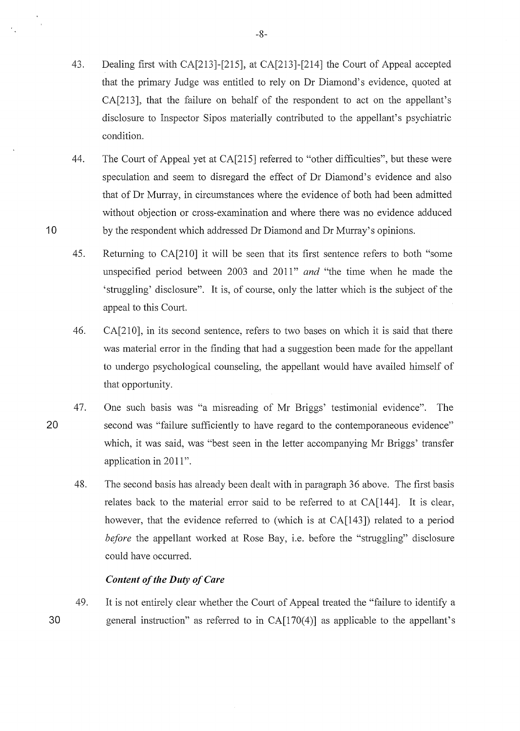- 43. Dealing first with CA[213]-[215], at CA[213]-[214] the Court of Appeal accepted that the primary Judge was entitled to rely on Dr Diamond's evidence, quoted at CA[213], that the failure on behalf of the respondent to act on the appellant's disclosure to Inspector Sipos materially contributed to the appellant's psychiatric condition.
- 44. The Court of Appeal yet at CA[215] referred to "other difficulties", but these were speculation and seem to disregard the effect of Dr Diamond's evidence and also that of Dr Murray, in circumstances where the evidence of both had been admitted without objection or cross-examination and where there was no evidence adduced by the respondent which addressed Dr Diamond and Dr Murray's opinions.
- 45. Returning to CA[210] it will be seen that its first sentence refers to both "some unspecified period between 2003 and 2011" *and* "the time when he made the 'struggling' disclosure". It is, of course, only the latter which is the subject of the appeal to this Court.
- 46. CA[210], in its second sentence, refers to two bases on which it is said that there was material error in the finding that had a suggestion been made for the appellant to undergo psychological counseling, the appellant would have availed himself of that opportunity.
- 47. One such basis was "a misreading of Mr Briggs' testimonial evidence". The second was "failure sufficiently to have regard to the contemporaneous evidence" which, it was said, was "best seen in the letter accompanying Mr Briggs' transfer application in 2011".
	- 48. The second basis has already been dealt with in paragraph 36 above. The first basis relates back to the material error said to be referred to at CA[144]. It is clear, however, that the evidence referred to (which is at CA[143]) related to a period *before* the appellant worked at Rose Bay, i.e. before the "struggling" disclosure could have occurred.

#### *Content of tlte Duty of Care*

49. It is not entirely clear whether the Court of Appeal treated the "failure to identify a general instruction" as referred to in CA[170(4)] as applicable to the appellant's

**20** 

**30**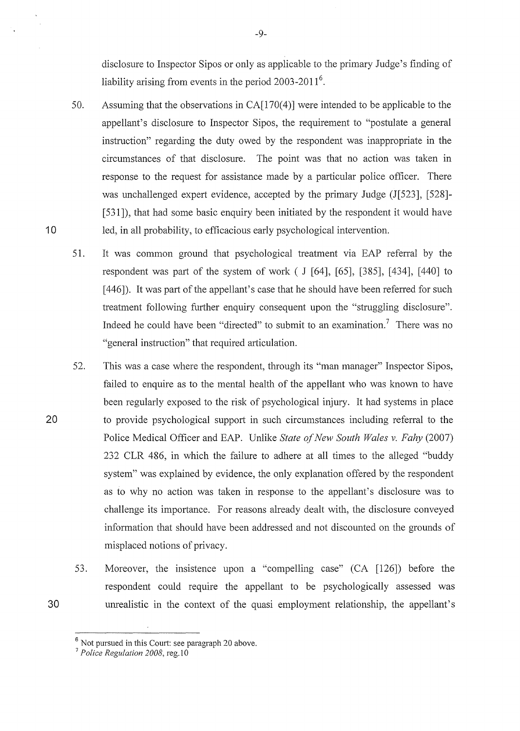disclosure to Inspector Sipos or only as applicable to the primary Judge's finding of liability arising from events in the period 2003-2011<sup>6</sup>.

- 50. Assuming that the observations in  $CA[170(4)]$  were intended to be applicable to the appellant's disclosure to Inspector Sipos, the requirement to "postulate a general instruction" regarding the duty owed by the respondent was inappropriate in the circumstances of that disclosure. The point was that no action was taken in response to the request for assistance made by a particular police officer. There was unchallenged expert evidence, accepted by the primary Judge (J[523], [528]- [531]), that had some basic enquiry been initiated by the respondent it would have led, in all probability, to efficacious early psychological intervention.
- 51. It was common ground that psychological treatment via EAP referral by the respondent was part of the system of work  $($  J  $[64]$ ,  $[65]$ ,  $[385]$ ,  $[434]$ ,  $[440]$  to [446]). It was part of the appellant's case that he should have been referred for such treatment following further enquiry consequent upon the "struggling disclosure". Indeed he could have been "directed" to submit to an examination.<sup>7</sup> There was no "general instruction" that required articulation.
- 52. This was a case where the respondent, through its "man manager" Inspector Sipos, failed to enquire as to the mental health of the appellant who was known to have been regularly exposed to the risk of psychological injury. It had systems in place to provide psychological support in such circumstances including referral to the Police Medical Officer and EAP. Unlike *State of New South Wales v. Fahy* (2007) 232 CLR 486, in which the failure to adhere at all times to the alleged "buddy system" was explained by evidence, the only explanation offered by the respondent as to why no action was taken in response to the appellant's disclosure was to challenge its importance. For reasons already dealt with, the disclosure conveyed information that should have been addressed and not discounted on the grounds of misplaced notions of privacy.
- 53. Moreover, the insistence upon a "compelling case" (CA [126]) before the respondent could require the appellant to be psychologically assessed was umealistic in the context of the quasi employment relationship, the appellant's

10

20

30

-9-

<sup>6</sup> Not pursued in this Court: see paragraph 20 above. 7 *Police Regulation 2008,* reg.l 0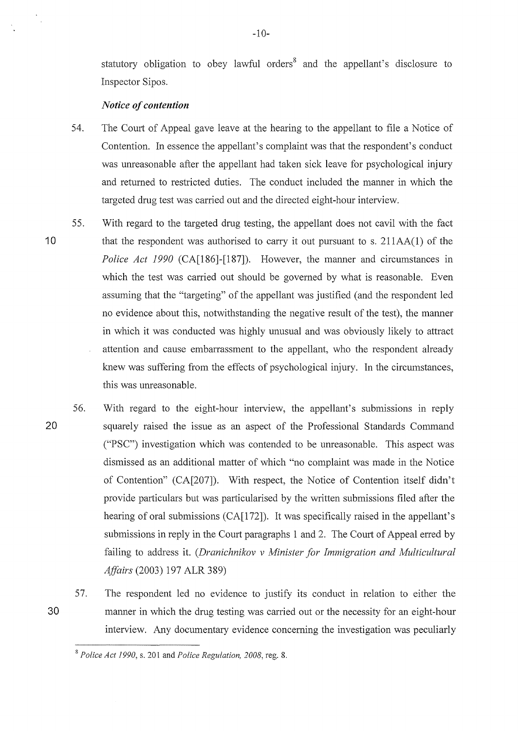statutory obligation to obey lawful orders<sup>8</sup> and the appellant's disclosure to Inspector Sipos.

#### *Notice of contention*

- 54. The Court of Appeal gave leave at the hearing to the appellant to file a Notice of Contention. In essence the appellant's complaint was that the respondent's conduct was unreasonable after the appellant had taken sick leave for psychological injury and returned to restricted duties. The conduct included the manner in which the targeted drug test was carried out and the directed eight-hour interview.
- **10**  55. With regard to the targeted drug testing, the appellant does not cavil with the fact that the respondent was authorised to carry it out pursuant to s.  $211AA(1)$  of the *Police Act 1990* (CA[186]-[187]). However, the manner and circumstances in which the test was carried out should be governed by what is reasonable. Even assuming that the "targeting" of the appellant was justified (and the respondent led no evidence about this, notwithstanding the negative result of the test), the manner in which it was conducted was highly unusual and was obviously likely to attract attention and cause embarrassment to the appellant, who the respondent already knew was suffering from the effects of psychological injury. In the circumstances, this was unreasonable.
- **20**  56. With regard to the eight-hour interview, the appellant's submissions in reply squarely raised the issue as an aspect of the Professional Standards Command ("PSC") investigation which was contended to be unreasonable. This aspect was dismissed as an additional matter of which "no complaint was made in the Notice of Contention" (CA[207]). With respect, the Notice of Contention itself didn't provide particulars but was particularised by the written submissions filed after the hearing of oral submissions (CA[172]). It was specifically raised in the appellant's submissions in reply in the Court paragraphs 1 and 2. The Court of Appeal erred by failing to address it. *(Dranichnikov v Minister for Immigration and Multicultural Affairs* (2003) 197 ALR 389)

<sup>57.</sup>  The respondent led no evidence to justify its conduct in relation to either the mmmer in which the drug testing was carried out or the necessity for an eight-hour interview. Any documentary evidence concerning the investigation was peculiarly

<sup>8</sup>*Police Act 1990,* s. 20 l and *Police Regulation, 2008,* reg. 8.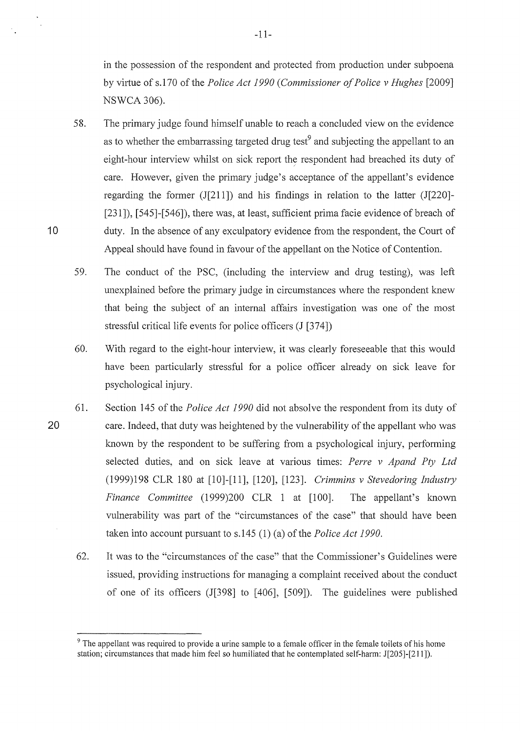in the possession of the respondent and protected from production under subpoena by virtue of s.170 of the *Police Act 1990 (Commissioner of Police v Hughes* [2009] NSWCA306).

- 58. The primary judge found himself unable to reach a concluded view on the evidence as to whether the embarrassing targeted drug test<sup>9</sup> and subjecting the appellant to an eight-hour interview whilst on sick report the respondent had breached its duty of care. However, given the primary judge's acceptance of the appellant's evidence regarding the former  $(J[211])$  and his findings in relation to the latter  $(J[220]$ -[231]), [545]-[546]), there was, at least, sufficient prima facie evidence of breach of duty. In the absence of any exculpatory evidence from the respondent, the Court of Appeal should have found in favour of the appellant on the Notice of Contention.
- 59. The conduct of the PSC, (including the interview and drug testing), was left unexplained before the primary judge in circumstances where the respondent knew that being the subject of an internal affairs investigation was one of the most stressful critical life events for police officers **(J** [374])
- 60. With regard to the eight-hour interview, it was clearly foreseeable that this would have been particularly stressful for a police officer already on sick leave for psychological injury.
- 61. Section 145 of the *Police Act 1990* did not absolve the respondent from its duty of care. Indeed, that duty was heightened by the vulnerability of the appellant who was known by the respondent to be suffering from a psychological injury, perfonning selected duties, and on sick leave at various times: *Perre v Apand Pty Ltd*  (1999)198 CLR 180 at [10]-[11], [120], [123]. *Crimmins v Stevedoring Industry Finance Committee* (1999)200 CLR 1 at [100]. The appellant's known vulnerability was part of the "circumstances of the case" that should have been taken into account pursuant to s.145 (1) (a) of the *Police Act 1990*.
	- 62. It was to the "circumstances of the case" that the Commissioner's Guidelines were issued, providing instructions for managing a complaint received about the conduct of one of its officers (1[398] to [ 406], [509]). The guidelines were published

**10** 

<sup>&</sup>lt;sup>9</sup> The appellant was required to provide a urine sample to a female officer in the female toilets of his home station; circumstances that made him feel so humiliated that he contemplated self-harm: 1[205]-[211]).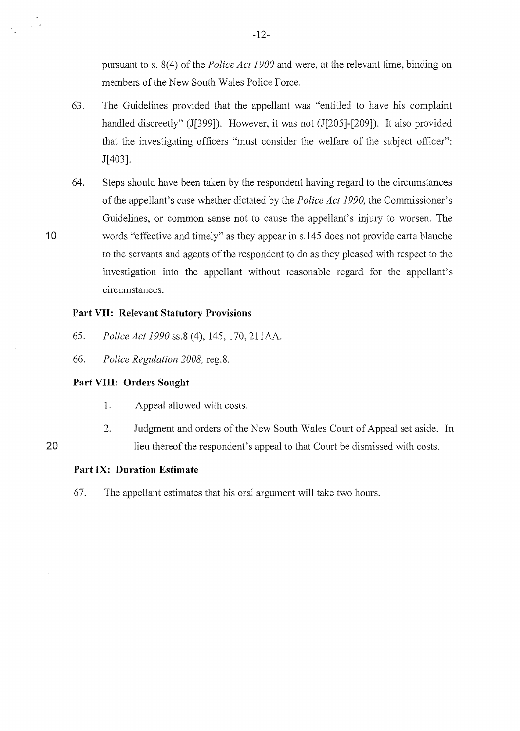pursuant to s. 8(4) of the *Police Act 1900* and were, at the relevant time, binding on members of the New South Wales Police Force.

- 63. The Guidelines provided that the appellant was "entitled to have his complaint handled discreetly" (1[399]). However, it was not (1[205]-[209]). It also provided that the investigating officers "must consider the welfare of the subject officer": J[403].
- 64. Steps should have been taken by the respondent having regard to the circumstances ofthe appellant's case whether dictated by the *Police Act 1990,* the Commissioner's Guidelines, or common sense not to cause the appellant's injury to worsen. The words "effective and timely" as they appear in s.145 does not provide carte blanche to the servants and agents of the respondent to do as they pleased with respect to the investigation into the appellant without reasonable regard for the appellant's circumstances.

### **Part VII: Relevant Statutory Provisions**

- 65. *Police Act 1990* ss.8 (4), 145, 170, 211AA.
- 66. *Police Regulation 2008,* reg.8.

#### **Part VIII: Orders Sought**

- 1. Appeal allowed with costs.
- 2. Judgment and orders of the New South Wales Court of Appeal set aside. In lieu thereof the respondent's appeal to that Court be dismissed with costs.

### **Part IX: Duration Estimate**

67. The appellant estimates that his oral argument will take two hours.

10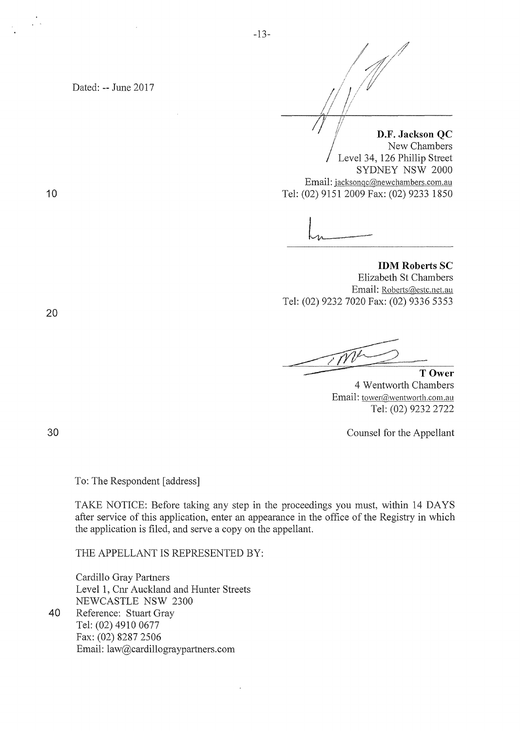Dated:-- June 2017

7). I */i*  D.F. Jackson QC  $\int$ New Chambers Level 34, 126 Phillip Street SYDNEY NSW 2000 Email: jacksonqc@newchambers.com.au

 $\downarrow$ 

Tel: (02) 9151 2009 Fax: (02) 9233 1850

**IDM Roberts SC**  Elizabeth St Chambers Email: Roberts@estc.net.au Tel: (02) 9232 7020 Fax: (02) 9336 5353

**TOwer** 

4 Wentworth Chambers Email: tower@wentworth.com.au Tel: (02) 9232 2722

Counsel for the Appellant

To: The Respondent [address]

TAKE NOTICE: Before taking any step in the proceedings you must, within 14 DAYS after service of this application, enter an appearance in the office of the Registry in which the application is filed, and serve a copy on the appellant.

THE APPELLANT IS REPRESENTED BY:

Cardillo Gray Partners Level 1, Cnr Auckland and Hunter Streets NEWCASTLE NSW 2300 40 Reference: Stuart Gray Tel: (02) 4910 0677 Fax: (02) 8287 2506 Email: law@cardillograypartners.com

10

20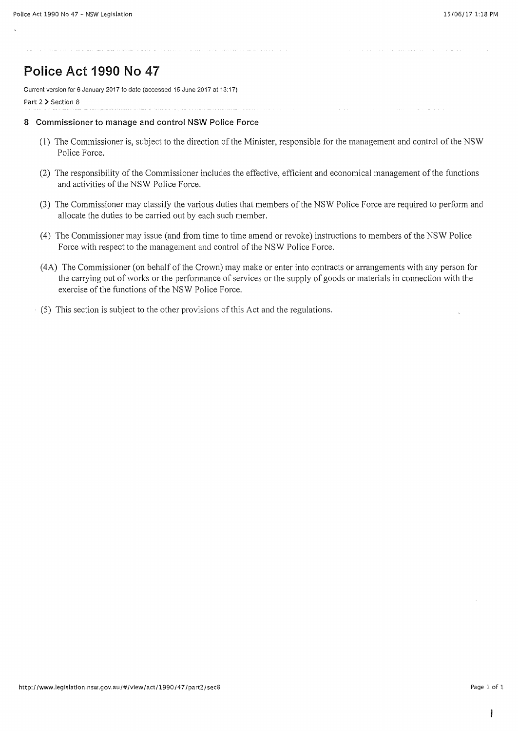Current version for 6 January 2017 to date (accessed 15 June 2017 at 13:17)

Part 2 > Section 8

#### **8 Commissioner to manage and control NSW Police Force**

- (1) The Commissioner is, subject to the direction of the Minister, responsible for the management and control of the NSW Police Force.
- (2) The responsibility of the Commissioner includes the effective, efficient and economical management ofthe functions and activities of the NSW Police Force.
- (3) The Commissioner may classify the various duties that members of the NSW Police Force are required to perform and allocate the duties to be carried out by each such member.
- (4) The Commissioner may issue (and from time to time amend or revoke) instructions to members of the NSW Police Force with respect to the management and control of the NSW Police Force.
- (4A) The Commissioner (on behalf of the Crown) may make or enter into contracts or arrangements with any person for the canying out of works or the performance of services or the supply of goods or materials in connection with the exercise of the functions of the NSW Police Force.
- $(5)$  This section is subject to the other provisions of this Act and the regulations.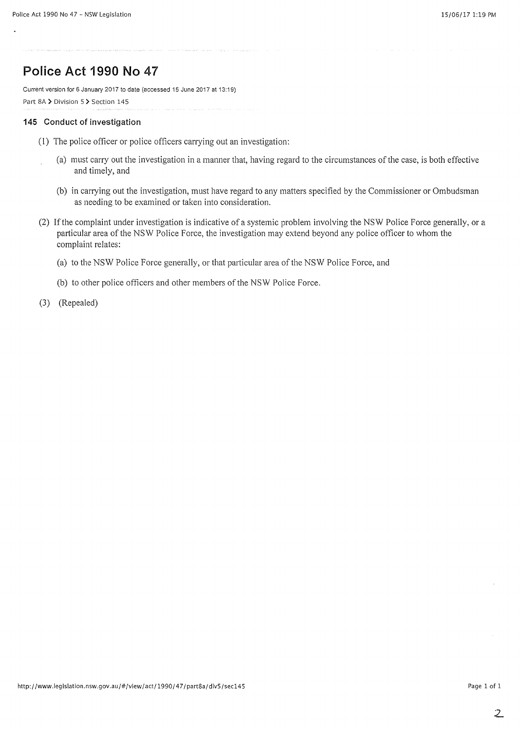Current version for 6 January 2017 to date (accessed 15 June 2017 at 13:19) Part 8A > Division 5 > Section 145

#### **145 Conduct of investigation**

- (1) The police officer or police officers carrying out an investigation:
	- (a) must carry out the investigation in a manner that, having regard to the circumstances of the case, is both effective and timely, and
	- (b) in carrying out the investigation, must have regard to any matters specified by the Commissioner or Ombudsman as needing to be examined or taken into consideration.
- (2) If the complaint under investigation is indicative of a systemic problem involving the NSW Police Force generally, or a particular area of the NSW Police Force, the investigation may extend beyond any police officer to whom the complaint relates:
	- (a) to the NSW Police Force generally, or that patticular area of the NSW Police Force, and
	- (b) to other police officers and other members of the NSW Police Force.
- (3) (Repealed)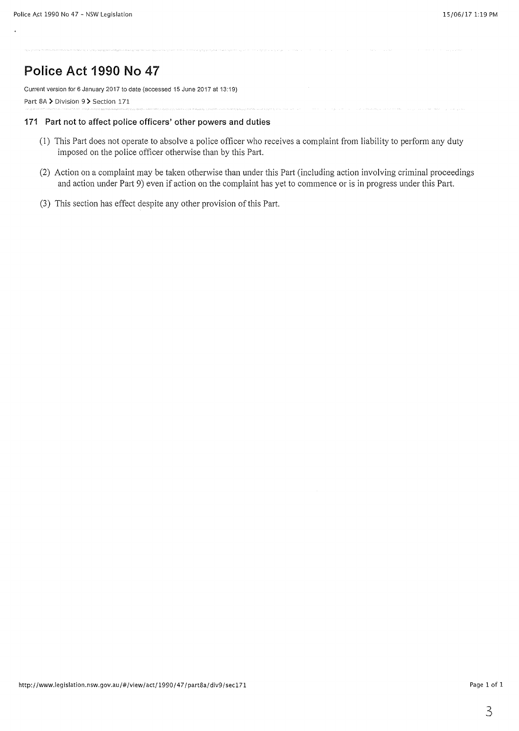Current version for 6 January 2017 to date (accessed 15 June 2017 at 13:19) Part 8A > Division 9 > Section 171

### **171 Part not to affect police officers' other powers and duties**

- (1) This Part does not operate to absolve a police officer who receives a complaint from liability to perform any duty imposed on the police officer otherwise than by this Part.
- (2) Action on a complaint may be taken otherwise than under this Part (including action involving criminal proceedings and action under Part 9) even if action on the complaint has yet to commence or is in progress under this Part.
- (3) This section has effect despite any other provision of this Part.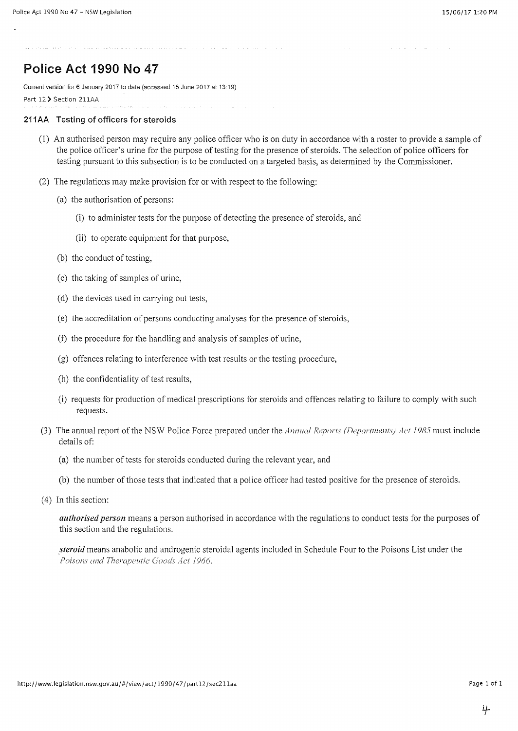Current version for 6 January 2017 to date (accessed 15 June 2017 at 13:19) Part 12 > Section 211AA

### **211 AA Testing of officers for steroids**

- (1) An authorised person may require any police officer who is on duty in accordance with a roster to provide a sample of the police officer's urine for the purpose of testing for the presence of steroids. The selection of police officers for testing pursuant to this subsection is to be conducted on a targeted basis, as determined by the Commissioner.
- (2) The regulations may make provision for or with respect to the following:
	- (a) the authorisation of persons:
		- (i) to administer tests for the purpose of detecting the presence of steroids, and
		- **(ii)** to operate equipment for that purpose,
	- (b) the conduct of testing,
	- (c) the taking of samples of urine,
	- (d) the devices used in carrying out tests,
	- (e) the accreditation of persons conducting analyses for the presence of steroids,
	- (f) the procedure for the handling and analysis of samples of urine,
	- (g) offences relating to interference with test results or the testing procedure,
	- **(h)** the confidentiality of test results,
	- (i) requests for production of medical prescriptions for steroids and offences relating to failure to comply with such requests.
- (3) The annual repoti of the NSW Police Force prepared under the *Annual Reports (Departments) Act I 985* must include details of:
	- (a) the number of tests for steroids conducted during the relevant year, and
	- (b) the number of those tests that indicated that a police officer had tested positive for the presence of steroids.
- ( 4) In this section:

*authorised person* means a person authorised in accordance with the regulations to conduct tests for the purposes of this section and the regulations.

*\_steroid* means anabolic and androgenic steroidal agents included in Schedule Four to the Poisons List under the *Poisons und Therapeuric Goods Act 1966.*